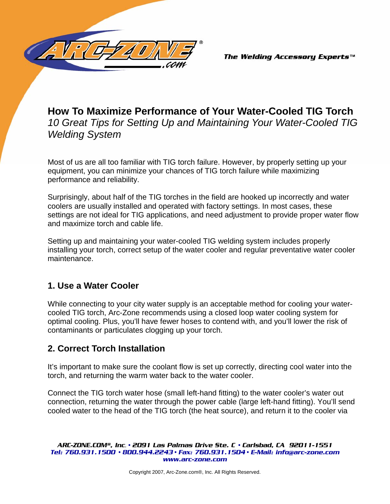

*The Welding Accessory Experts™* 

# **How To Maximize Performance of Your Water-Cooled TIG Torch**  *10 Great Tips for Setting Up and Maintaining Your Water-Cooled TIG Welding System*

Most of us are all too familiar with TIG torch failure. However, by properly setting up your equipment, you can minimize your chances of TIG torch failure while maximizing performance and reliability.

Surprisingly, about half of the TIG torches in the field are hooked up incorrectly and water coolers are usually installed and operated with factory settings. In most cases, these settings are not ideal for TIG applications, and need adjustment to provide proper water flow and maximize torch and cable life.

Setting up and maintaining your water-cooled TIG welding system includes properly installing your torch, correct setup of the water cooler and regular preventative water cooler maintenance.

# **1. Use a Water Cooler**

While connecting to your city water supply is an acceptable method for cooling your watercooled TIG torch, Arc-Zone recommends using a closed loop water cooling system for optimal cooling. Plus, you'll have fewer hoses to contend with, and you'll lower the risk of contaminants or particulates clogging up your torch.

# **2. Correct Torch Installation**

It's important to make sure the coolant flow is set up correctly, directing cool water into the torch, and returning the warm water back to the water cooler.

Connect the TIG torch water hose (small left-hand fitting) to the water cooler's water out connection, returning the water through the power cable (large left-hand fitting). You'll send cooled water to the head of the TIG torch (the heat source), and return it to the cooler via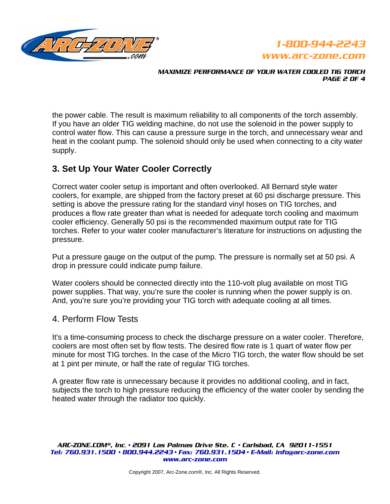



*MAXIMIZE PERFORMANCE OF YOUR WATER COOLED TIG TORCH m^db=O=lc=Q=*

the power cable. The result is maximum reliability to all components of the torch assembly. If you have an older TIG welding machine, do not use the solenoid in the power supply to control water flow. This can cause a pressure surge in the torch, and unnecessary wear and heat in the coolant pump. The solenoid should only be used when connecting to a city water supply.

# **3. Set Up Your Water Cooler Correctly**

Correct water cooler setup is important and often overlooked. All Bernard style water coolers, for example, are shipped from the factory preset at 60 psi discharge pressure. This setting is above the pressure rating for the standard vinyl hoses on TIG torches, and produces a flow rate greater than what is needed for adequate torch cooling and maximum cooler efficiency. Generally 50 psi is the recommended maximum output rate for TIG torches. Refer to your water cooler manufacturer's literature for instructions on adjusting the pressure.

Put a pressure gauge on the output of the pump. The pressure is normally set at 50 psi. A drop in pressure could indicate pump failure.

Water coolers should be connected directly into the 110-volt plug available on most TIG power supplies. That way, you're sure the cooler is running when the power supply is on. And, you're sure you're providing your TIG torch with adequate cooling at all times.

#### 4. Perform Flow Tests

It's a time-consuming process to check the discharge pressure on a water cooler. Therefore, coolers are most often set by flow tests. The desired flow rate is 1 quart of water flow per minute for most TIG torches. In the case of the Micro TIG torch, the water flow should be set at 1 pint per minute, or half the rate of regular TIG torches.

A greater flow rate is unnecessary because it provides no additional cooling, and in fact, subjects the torch to high pressure reducing the efficiency of the water cooler by sending the heated water through the radiator too quickly.

 $\overline{\text{ARC-ZONE.LDM}}^{\text{\tiny \textregistered}}$ , inc. • 2091 Las Palmas Drive Ste. C • Carlsbad, CA 92011-1551 *qÉäW=TSMKVPNKNRMM √=UMMKVQQKOOQP √=c~ñW=TSMKVPNKNRMQ √=bJj~áäW=áåÑç]~êÅJòçåÉKÅçã==* www.arc-zone.com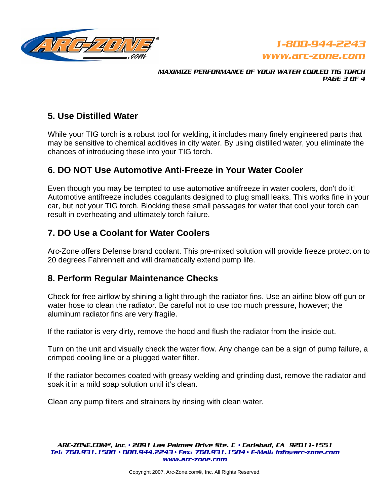



*j^ufjfwb=mbocloj^k`b=lc=vlro=t^qbo=`lliba=qfd=qlo`e= PAGE 3 OF 4* 

## **5. Use Distilled Water**

While your TIG torch is a robust tool for welding, it includes many finely engineered parts that may be sensitive to chemical additives in city water. By using distilled water, you eliminate the chances of introducing these into your TIG torch.

## **6. DO NOT Use Automotive Anti-Freeze in Your Water Cooler**

Even though you may be tempted to use automotive antifreeze in water coolers, don't do it! Automotive antifreeze includes coagulants designed to plug small leaks. This works fine in your car, but not your TIG torch. Blocking these small passages for water that cool your torch can result in overheating and ultimately torch failure.

## **7. DO Use a Coolant for Water Coolers**

Arc-Zone offers Defense brand coolant. This pre-mixed solution will provide freeze protection to 20 degrees Fahrenheit and will dramatically extend pump life.

#### **8. Perform Regular Maintenance Checks**

Check for free airflow by shining a light through the radiator fins. Use an airline blow-off gun or water hose to clean the radiator. Be careful not to use too much pressure, however; the aluminum radiator fins are very fragile.

If the radiator is very dirty, remove the hood and flush the radiator from the inside out.

Turn on the unit and visually check the water flow. Any change can be a sign of pump failure, a crimped cooling line or a plugged water filter.

If the radiator becomes coated with greasy welding and grinding dust, remove the radiator and soak it in a mild soap solution until it's clean.

Clean any pump filters and strainers by rinsing with clean water.

 $\overline{\text{ARC-ZONE.LDM}}^{\text{\tiny \textregistered}}$ , *Inc.* • 2091 Las Palmas Drive Ste. C • Carlsbad, CA 92011-1551 *qÉäW=TSMKVPNKNRMM √=UMMKVQQKOOQP √=c~ñW=TSMKVPNKNRMQ √=bJj~áäW=áåÑç]~êÅJòçåÉKÅçã==* www.arc-zone.com